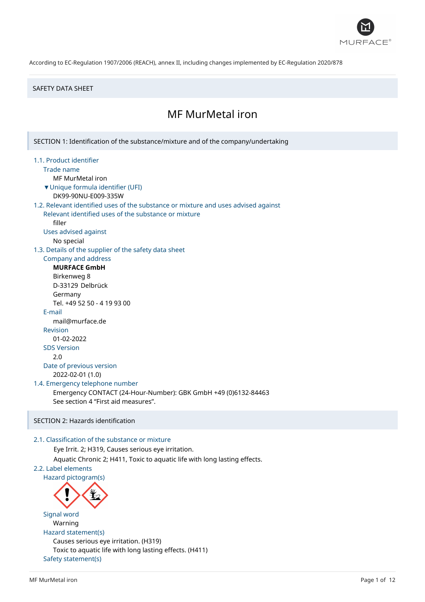

#### SAFETY DATA SHEET

# MF MurMetal iron

SECTION 1: Identification of the substance/mixture and of the company/undertaking 1.1. Product identifier Trade name MF MurMetal iron ▼Unique formula identifier (UFI) DK99-90NU-E009-335W 1.2. Relevant identified uses of the substance or mixture and uses advised against Relevant identified uses of the substance or mixture filler Uses advised against No special 1.3. Details of the supplier of the safety data sheet Company and address **MURFACE GmbH** Birkenweg 8 D-33129 Delbrück Germany Tel. +49 52 50 - 4 19 93 00 E-mail mail@murface.de Revision 01-02-2022 SDS Version 2.0 Date of previous version 2022-02-01 (1.0) 1.4. Emergency telephone number Emergency CONTACT (24-Hour-Number): GBK GmbH +49 (0)6132-84463 See section 4 "First aid measures". SECTION 2: Hazards identification 2.1. Classification of the substance or mixture Eye Irrit. 2; H319, Causes serious eye irritation. Aquatic Chronic 2; H411, Toxic to aquatic life with long lasting effects. 2.2. Label elements Hazard pictogram(s) Signal word Warning Hazard statement(s) Causes serious eye irritation. (H319) Toxic to aquatic life with long lasting effects. (H411)

Safety statement(s)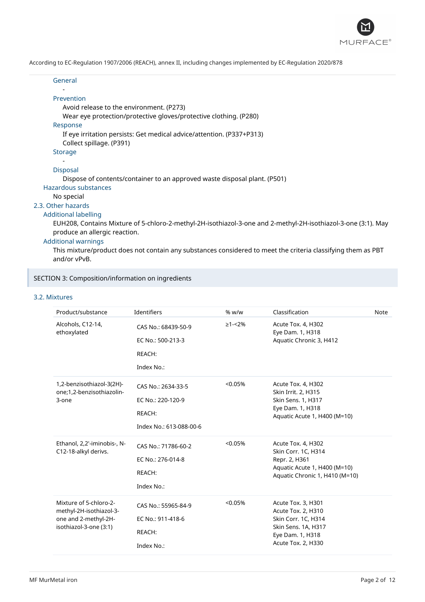

| General                                                                                                       |
|---------------------------------------------------------------------------------------------------------------|
| Prevention                                                                                                    |
| Avoid release to the environment. (P273)                                                                      |
| Wear eye protection/protective gloves/protective clothing. (P280)                                             |
| Response                                                                                                      |
| If eye irritation persists: Get medical advice/attention. (P337+P313)                                         |
| Collect spillage. (P391)                                                                                      |
| Storage                                                                                                       |
|                                                                                                               |
| <b>Disposal</b>                                                                                               |
| Dispose of contents/container to an approved waste disposal plant. (P501)                                     |
| Hazardous substances                                                                                          |
| No special                                                                                                    |
| 2.3. Other hazards                                                                                            |
| <b>Additional labelling</b>                                                                                   |
| EUH208, Contains Mixture of 5-chloro-2-methyl-2H-isothiazol-3-one and 2-methyl-2H-isothiazol-3-one (3:1). May |
| produce an allergic reaction.                                                                                 |

# Additional warnings

This mixture/product does not contain any substances considered to meet the criteria classifying them as PBT and/or vPvB.

# SECTION 3: Composition/information on ingredients

# 3.2. Mixtures

| Product/substance                                                                                   | Identifiers                                                                  | % w/w          | Classification                                                                                                                   | Note |
|-----------------------------------------------------------------------------------------------------|------------------------------------------------------------------------------|----------------|----------------------------------------------------------------------------------------------------------------------------------|------|
| Alcohols, C12-14,<br>ethoxylated                                                                    | CAS No.: 68439-50-9<br>EC No.: 500-213-3<br>REACH:<br>Index No.:             | $\geq 1 - 2\%$ | Acute Tox. 4, H302<br>Eye Dam. 1, H318<br>Aquatic Chronic 3, H412                                                                |      |
| 1,2-benzisothiazol-3(2H)-<br>one;1,2-benzisothiazolin-<br>3-one                                     | CAS No.: 2634-33-5<br>EC No.: 220-120-9<br>REACH:<br>Index No.: 613-088-00-6 | < 0.05%        | Acute Tox. 4, H302<br>Skin Irrit. 2, H315<br>Skin Sens. 1, H317<br>Eye Dam. 1, H318<br>Aquatic Acute 1, H400 (M=10)              |      |
| Ethanol, 2,2'-iminobis-, N-<br>C12-18-alkyl derivs.                                                 | CAS No.: 71786-60-2<br>EC No.: 276-014-8<br>REACH:<br>Index No.:             | < 0.05%        | Acute Tox. 4, H302<br>Skin Corr. 1C, H314<br>Repr. 2, H361<br>Aquatic Acute 1, H400 (M=10)<br>Aquatic Chronic 1, H410 (M=10)     |      |
| Mixture of 5-chloro-2-<br>methyl-2H-isothiazol-3-<br>one and 2-methyl-2H-<br>isothiazol-3-one (3:1) | CAS No.: 55965-84-9<br>EC No.: 911-418-6<br>REACH:<br>Index No.:             | < 0.05%        | Acute Tox. 3, H301<br>Acute Tox. 2, H310<br>Skin Corr. 1C, H314<br>Skin Sens. 1A, H317<br>Eye Dam. 1, H318<br>Acute Tox. 2, H330 |      |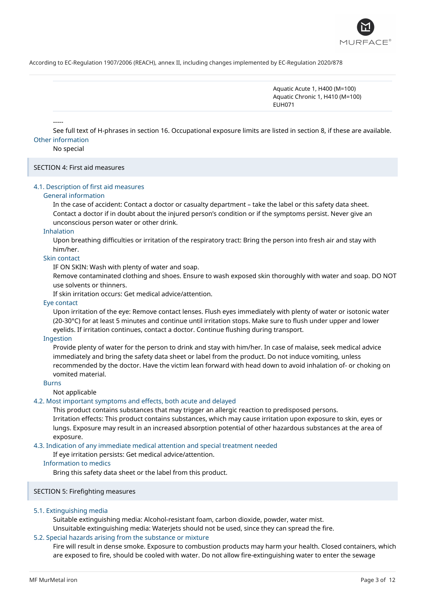

Aquatic Acute 1, H400 (M=100) Aquatic Chronic 1, H410 (M=100) EUH071

See full text of H-phrases in section 16. Occupational exposure limits are listed in section 8, if these are available. Other information

No special

-----

### SECTION 4: First aid measures

### 4.1. Description of first aid measures

#### General information

In the case of accident: Contact a doctor or casualty department – take the label or this safety data sheet. Contact a doctor if in doubt about the injured person's condition or if the symptoms persist. Never give an unconscious person water or other drink.

### Inhalation

Upon breathing difficulties or irritation of the respiratory tract: Bring the person into fresh air and stay with him/her.

#### Skin contact

IF ON SKIN: Wash with plenty of water and soap.

Remove contaminated clothing and shoes. Ensure to wash exposed skin thoroughly with water and soap. DO NOT use solvents or thinners.

If skin irritation occurs: Get medical advice/attention.

#### Eye contact

Upon irritation of the eye: Remove contact lenses. Flush eyes immediately with plenty of water or isotonic water (20-30°C) for at least 5 minutes and continue until irritation stops. Make sure to flush under upper and lower eyelids. If irritation continues, contact a doctor. Continue flushing during transport.

#### Ingestion

Provide plenty of water for the person to drink and stay with him/her. In case of malaise, seek medical advice immediately and bring the safety data sheet or label from the product. Do not induce vomiting, unless recommended by the doctor. Have the victim lean forward with head down to avoid inhalation of- or choking on vomited material.

#### Burns

Not applicable

#### 4.2. Most important symptoms and effects, both acute and delayed

This product contains substances that may trigger an allergic reaction to predisposed persons. Irritation effects: This product contains substances, which may cause irritation upon exposure to skin, eyes or lungs. Exposure may result in an increased absorption potential of other hazardous substances at the area of exposure.

### 4.3. Indication of any immediate medical attention and special treatment needed

If eye irritation persists: Get medical advice/attention.

#### Information to medics

Bring this safety data sheet or the label from this product.

#### SECTION 5: Firefighting measures

#### 5.1. Extinguishing media

Suitable extinguishing media: Alcohol-resistant foam, carbon dioxide, powder, water mist. Unsuitable extinguishing media: Waterjets should not be used, since they can spread the fire.

### 5.2. Special hazards arising from the substance or mixture

Fire will result in dense smoke. Exposure to combustion products may harm your health. Closed containers, which are exposed to fire, should be cooled with water. Do not allow fire-extinguishing water to enter the sewage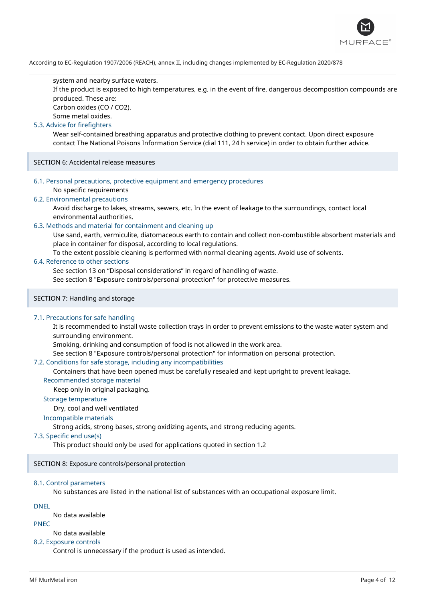

#### system and nearby surface waters.

If the product is exposed to high temperatures, e.g. in the event of fire, dangerous decomposition compounds are produced. These are:

Carbon oxides (CO / CO2).

Some metal oxides.

# 5.3. Advice for firefighters

Wear self-contained breathing apparatus and protective clothing to prevent contact. Upon direct exposure contact The National Poisons Information Service (dial 111, 24 h service) in order to obtain further advice.

SECTION 6: Accidental release measures

6.1. Personal precautions, protective equipment and emergency procedures No specific requirements

### 6.2. Environmental precautions

Avoid discharge to lakes, streams, sewers, etc. In the event of leakage to the surroundings, contact local environmental authorities.

#### 6.3. Methods and material for containment and cleaning up

Use sand, earth, vermiculite, diatomaceous earth to contain and collect non-combustible absorbent materials and place in container for disposal, according to local regulations.

To the extent possible cleaning is performed with normal cleaning agents. Avoid use of solvents.

# 6.4. Reference to other sections

See section 13 on "Disposal considerations" in regard of handling of waste.

See section 8 "Exposure controls/personal protection" for protective measures.

### SECTION 7: Handling and storage

#### 7.1. Precautions for safe handling

It is recommended to install waste collection trays in order to prevent emissions to the waste water system and surrounding environment.

Smoking, drinking and consumption of food is not allowed in the work area.

See section 8 "Exposure controls/personal protection" for information on personal protection.

#### 7.2. Conditions for safe storage, including any incompatibilities

Containers that have been opened must be carefully resealed and kept upright to prevent leakage.

### Recommended storage material

Keep only in original packaging.

#### Storage temperature

Dry, cool and well ventilated

# Incompatible materials

Strong acids, strong bases, strong oxidizing agents, and strong reducing agents.

# 7.3. Specific end use(s)

This product should only be used for applications quoted in section 1.2

SECTION 8: Exposure controls/personal protection

#### 8.1. Control parameters

No substances are listed in the national list of substances with an occupational exposure limit.

### DNEL

No data available PNEC

### No data available

#### 8.2. Exposure controls

Control is unnecessary if the product is used as intended.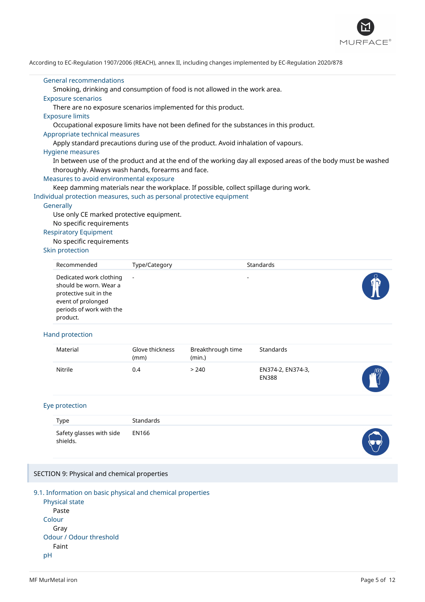

#### General recommendations

Smoking, drinking and consumption of food is not allowed in the work area.

# Exposure scenarios

There are no exposure scenarios implemented for this product.

#### Exposure limits

Occupational exposure limits have not been defined for the substances in this product.

#### Appropriate technical measures

Apply standard precautions during use of the product. Avoid inhalation of vapours.

#### Hygiene measures

In between use of the product and at the end of the working day all exposed areas of the body must be washed thoroughly. Always wash hands, forearms and face.

#### Measures to avoid environmental exposure

Keep damming materials near the workplace. If possible, collect spillage during work.

Individual protection measures, such as personal protective equipment

#### **Generally**

Use only CE marked protective equipment. No specific requirements

#### Respiratory Equipment

No specific requirements

### Skin protection

| Recommended                                                                                                                               | Type/Category | Standards                |  |
|-------------------------------------------------------------------------------------------------------------------------------------------|---------------|--------------------------|--|
| Dedicated work clothing<br>should be worn. Wear a<br>protective suit in the<br>event of prolonged<br>periods of work with the<br>product. | $\sim$        | $\overline{\phantom{a}}$ |  |

### Hand protection

| Material | Glove thickness<br>(mm) | Breakthrough time<br>(min.) | Standards                         |                 |
|----------|-------------------------|-----------------------------|-----------------------------------|-----------------|
| Nitrile  | 0.4                     | > 240                       | EN374-2, EN374-3,<br><b>EN388</b> | $m_{\tilde{z}}$ |

### Eye protection

| Type                                       | Standards |  |
|--------------------------------------------|-----------|--|
| Safety glasses with side EN166<br>shields. |           |  |

#### SECTION 9: Physical and chemical properties



Physical state Paste Colour Gray Odour / Odour threshold Faint pH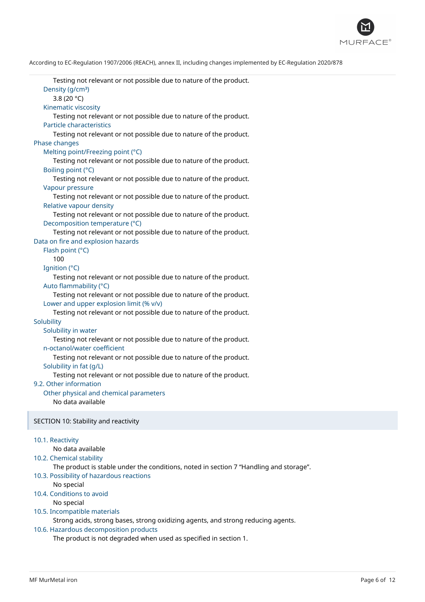

Testing not relevant or not possible due to nature of the product. Density (g/cm<sup>3</sup>) 3.8 (20 °C) Kinematic viscosity Testing not relevant or not possible due to nature of the product. Particle characteristics Testing not relevant or not possible due to nature of the product. Phase changes Melting point/Freezing point (°C) Testing not relevant or not possible due to nature of the product. Boiling point (°C) Testing not relevant or not possible due to nature of the product. Vapour pressure Testing not relevant or not possible due to nature of the product. Relative vapour density Testing not relevant or not possible due to nature of the product. Decomposition temperature (°C) Testing not relevant or not possible due to nature of the product. Data on fire and explosion hazards Flash point (°C) 100 Ignition (°C) Testing not relevant or not possible due to nature of the product. Auto flammability (°C) Testing not relevant or not possible due to nature of the product. Lower and upper explosion limit (% v/v) Testing not relevant or not possible due to nature of the product. **Solubility** Solubility in water Testing not relevant or not possible due to nature of the product. n-octanol/water coefficient Testing not relevant or not possible due to nature of the product. Solubility in fat (g/L) Testing not relevant or not possible due to nature of the product. 9.2. Other information Other physical and chemical parameters No data available SECTION 10: Stability and reactivity 10.1. Reactivity No data available 10.2. Chemical stability The product is stable under the conditions, noted in section 7 "Handling and storage".

- 10.3. Possibility of hazardous reactions
	- No special
- 10.4. Conditions to avoid

No special

#### 10.5. Incompatible materials

Strong acids, strong bases, strong oxidizing agents, and strong reducing agents.

#### 10.6. Hazardous decomposition products

The product is not degraded when used as specified in section 1.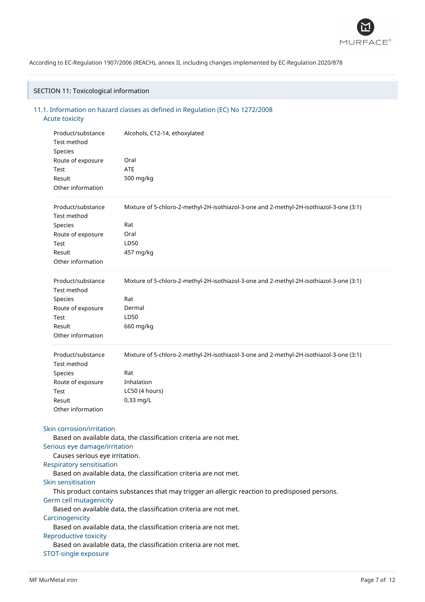

# SECTION 11: Toxicological information

# 11.1. Information on hazard classes as defined in Regulation (EC) No 1272/2008 Acute toxicity

| Product/substance<br>Test method<br>Species                       | Alcohols, C12-14, ethoxylated                                                                  |  |  |
|-------------------------------------------------------------------|------------------------------------------------------------------------------------------------|--|--|
| Route of exposure                                                 | Oral                                                                                           |  |  |
| Test                                                              | <b>ATE</b>                                                                                     |  |  |
| Result                                                            | 500 mg/kg                                                                                      |  |  |
| Other information                                                 |                                                                                                |  |  |
| Product/substance<br><b>Test method</b>                           | Mixture of 5-chloro-2-methyl-2H-isothiazol-3-one and 2-methyl-2H-isothiazol-3-one (3:1)        |  |  |
| Species                                                           | Rat                                                                                            |  |  |
| Route of exposure                                                 | Oral                                                                                           |  |  |
| Test                                                              | LD50                                                                                           |  |  |
| Result                                                            | 457 mg/kg                                                                                      |  |  |
| Other information                                                 |                                                                                                |  |  |
| Product/substance<br>Test method                                  | Mixture of 5-chloro-2-methyl-2H-isothiazol-3-one and 2-methyl-2H-isothiazol-3-one (3:1)        |  |  |
| Species                                                           | Rat                                                                                            |  |  |
| Route of exposure                                                 | Dermal                                                                                         |  |  |
| Test                                                              | LD50                                                                                           |  |  |
| Result                                                            | 660 mg/kg                                                                                      |  |  |
| Other information                                                 |                                                                                                |  |  |
| Product/substance<br>Test method                                  | Mixture of 5-chloro-2-methyl-2H-isothiazol-3-one and 2-methyl-2H-isothiazol-3-one (3:1)        |  |  |
| Species                                                           | Rat                                                                                            |  |  |
| Route of exposure                                                 | Inhalation                                                                                     |  |  |
| Test                                                              | LC50 (4 hours)                                                                                 |  |  |
| Result                                                            | 0,33 mg/L                                                                                      |  |  |
| Other information                                                 |                                                                                                |  |  |
| Skin corrosion/irritation                                         |                                                                                                |  |  |
|                                                                   | Based on available data, the classification criteria are not met.                              |  |  |
| Serious eye damage/irritation                                     |                                                                                                |  |  |
| Causes serious eye irritation.                                    |                                                                                                |  |  |
| Respiratory sensitisation                                         |                                                                                                |  |  |
|                                                                   | Based on available data, the classification criteria are not met.                              |  |  |
| Skin sensitisation                                                |                                                                                                |  |  |
|                                                                   | This product contains substances that may trigger an allergic reaction to predisposed persons. |  |  |
| Germ cell mutagenicity                                            |                                                                                                |  |  |
|                                                                   | Based on available data, the classification criteria are not met.                              |  |  |
| Carcinogenicity                                                   |                                                                                                |  |  |
|                                                                   | Based on available data, the classification criteria are not met.                              |  |  |
| Reproductive toxicity                                             |                                                                                                |  |  |
| Based on available data, the classification criteria are not met. |                                                                                                |  |  |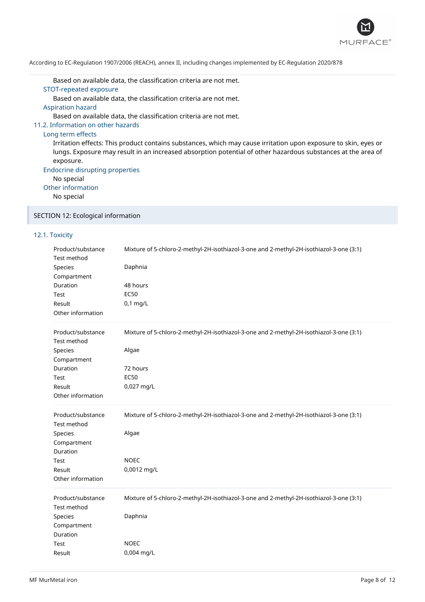

Based on available data, the classification criteria are not met. STOT-repeated exposure

Based on available data, the classification criteria are not met.

Aspiration hazard

Based on available data, the classification criteria are not met.

# 11.2. Information on other hazards

### Long term effects

Irritation effects: This product contains substances, which may cause irritation upon exposure to skin, eyes or lungs. Exposure may result in an increased absorption potential of other hazardous substances at the area of exposure.

Endocrine disrupting properties

No special

Other information

No special

# SECTION 12: Ecological information

### 12.1. Toxicity

| Product/substance | Mixture of 5-chloro-2-methyl-2H-isothiazol-3-one and 2-methyl-2H-isothiazol-3-one (3:1) |
|-------------------|-----------------------------------------------------------------------------------------|
| Test method       |                                                                                         |
| <b>Species</b>    | Daphnia                                                                                 |
| Compartment       |                                                                                         |
| Duration          | 48 hours                                                                                |
| Test              | <b>EC50</b>                                                                             |
| Result            | $0,1$ mg/L                                                                              |
| Other information |                                                                                         |
| Product/substance | Mixture of 5-chloro-2-methyl-2H-isothiazol-3-one and 2-methyl-2H-isothiazol-3-one (3:1) |
| Test method       |                                                                                         |
| Species           | Algae                                                                                   |
| Compartment       |                                                                                         |
| Duration          | 72 hours                                                                                |
| Test              | <b>EC50</b>                                                                             |
| Result            | 0,027 mg/L                                                                              |
| Other information |                                                                                         |
| Product/substance | Mixture of 5-chloro-2-methyl-2H-isothiazol-3-one and 2-methyl-2H-isothiazol-3-one (3:1) |
| Test method       |                                                                                         |
| Species           | Algae                                                                                   |
| Compartment       |                                                                                         |
| Duration<br>Test  | <b>NOEC</b>                                                                             |
| Result            | 0,0012 mg/L                                                                             |
| Other information |                                                                                         |
|                   |                                                                                         |
|                   |                                                                                         |
| Product/substance | Mixture of 5-chloro-2-methyl-2H-isothiazol-3-one and 2-methyl-2H-isothiazol-3-one (3:1) |
| Test method       |                                                                                         |
| Species           | Daphnia                                                                                 |
| Compartment       |                                                                                         |
| Duration          |                                                                                         |
| Test<br>Result    | <b>NOEC</b><br>0,004 mg/L                                                               |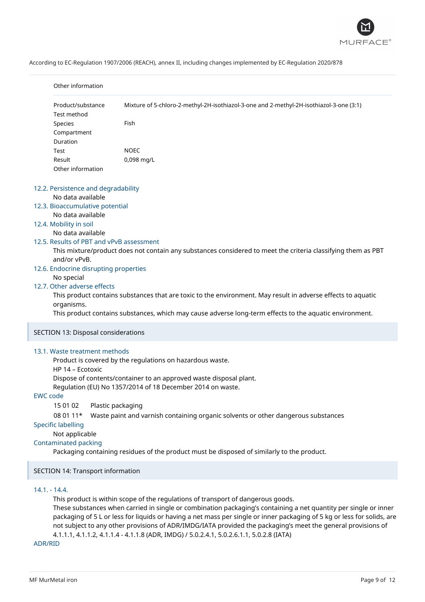

|                 | Other information                                             |                                                                                                                  |
|-----------------|---------------------------------------------------------------|------------------------------------------------------------------------------------------------------------------|
|                 | Product/substance<br>Test method                              | Mixture of 5-chloro-2-methyl-2H-isothiazol-3-one and 2-methyl-2H-isothiazol-3-one (3:1)                          |
|                 | Species                                                       | Fish                                                                                                             |
|                 | Compartment                                                   |                                                                                                                  |
|                 | Duration                                                      |                                                                                                                  |
|                 | Test                                                          | <b>NOEC</b>                                                                                                      |
|                 | Result                                                        | 0,098 mg/L                                                                                                       |
|                 | Other information                                             |                                                                                                                  |
|                 | 12.2. Persistence and degradability                           |                                                                                                                  |
|                 | No data available                                             |                                                                                                                  |
|                 | 12.3. Bioaccumulative potential                               |                                                                                                                  |
|                 | No data available                                             |                                                                                                                  |
|                 | 12.4. Mobility in soil                                        |                                                                                                                  |
|                 | No data available<br>12.5. Results of PBT and vPvB assessment |                                                                                                                  |
|                 |                                                               | This mixture/product does not contain any substances considered to meet the criteria classifying them as PBT     |
|                 | and/or vPvB.                                                  |                                                                                                                  |
|                 | 12.6. Endocrine disrupting properties                         |                                                                                                                  |
|                 | No special                                                    |                                                                                                                  |
|                 | 12.7. Other adverse effects                                   |                                                                                                                  |
|                 |                                                               | This product contains substances that are toxic to the environment. May result in adverse effects to aquatic     |
|                 | organisms.                                                    |                                                                                                                  |
|                 |                                                               | This product contains substances, which may cause adverse long-term effects to the aquatic environment.          |
|                 | SECTION 13: Disposal considerations                           |                                                                                                                  |
|                 | 13.1. Waste treatment methods                                 |                                                                                                                  |
|                 |                                                               | Product is covered by the regulations on hazardous waste.                                                        |
|                 | HP 14 - Ecotoxic                                              |                                                                                                                  |
|                 |                                                               | Dispose of contents/container to an approved waste disposal plant.                                               |
|                 |                                                               | Regulation (EU) No 1357/2014 of 18 December 2014 on waste.                                                       |
| <b>EWC</b> code |                                                               |                                                                                                                  |
|                 | 15 01 02<br>Plastic packaging                                 |                                                                                                                  |
|                 | 08 01 11*                                                     | Waste paint and varnish containing organic solvents or other dangerous substances                                |
|                 | <b>Specific labelling</b>                                     |                                                                                                                  |
|                 | Not applicable                                                |                                                                                                                  |
|                 | <b>Contaminated packing</b>                                   |                                                                                                                  |
|                 |                                                               | Packaging containing residues of the product must be disposed of similarly to the product.                       |
|                 | SECTION 14: Transport information                             |                                                                                                                  |
|                 | $14.1 - 14.4.$                                                |                                                                                                                  |
|                 |                                                               | This product is within scope of the regulations of transport of dangerous goods.                                 |
|                 |                                                               | These substances when carried in single or combination packaging's containing a net quantity per single or inner |

packaging of 5 L or less for liquids or having a net mass per single or inner packaging of 5 kg or less for solids, are not subject to any other provisions of ADR/IMDG/IATA provided the packaging's meet the general provisions of 4.1.1.1, 4.1.1.2, 4.1.1.4 - 4.1.1.8 (ADR, IMDG) / 5.0.2.4.1, 5.0.2.6.1.1, 5.0.2.8 (IATA)

ADR/RID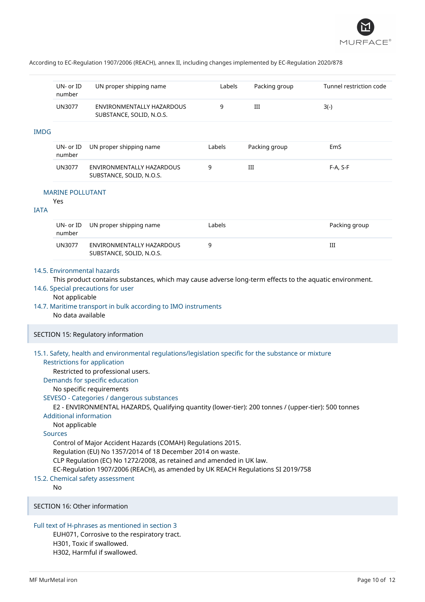

|             | UN- or ID<br>number                                               | UN proper shipping name                                                                                                                                                                                                                                                                                                                                                                                                                                                                                                                                                                                                                                                                                                         | Labels | Packing group | Tunnel restriction code |
|-------------|-------------------------------------------------------------------|---------------------------------------------------------------------------------------------------------------------------------------------------------------------------------------------------------------------------------------------------------------------------------------------------------------------------------------------------------------------------------------------------------------------------------------------------------------------------------------------------------------------------------------------------------------------------------------------------------------------------------------------------------------------------------------------------------------------------------|--------|---------------|-------------------------|
|             | <b>UN3077</b>                                                     | ENVIRONMENTALLY HAZARDOUS<br>SUBSTANCE, SOLID, N.O.S.                                                                                                                                                                                                                                                                                                                                                                                                                                                                                                                                                                                                                                                                           | 9      | Ш             | $3(-)$                  |
| <b>IMDG</b> |                                                                   |                                                                                                                                                                                                                                                                                                                                                                                                                                                                                                                                                                                                                                                                                                                                 |        |               |                         |
|             | UN- or ID<br>number                                               | UN proper shipping name                                                                                                                                                                                                                                                                                                                                                                                                                                                                                                                                                                                                                                                                                                         | Labels | Packing group | EmS                     |
|             | <b>UN3077</b>                                                     | ENVIRONMENTALLY HAZARDOUS<br>SUBSTANCE, SOLID, N.O.S.                                                                                                                                                                                                                                                                                                                                                                                                                                                                                                                                                                                                                                                                           | 9      | Ш             | F-A, S-F                |
| <b>IATA</b> | <b>MARINE POLLUTANT</b><br>Yes                                    |                                                                                                                                                                                                                                                                                                                                                                                                                                                                                                                                                                                                                                                                                                                                 |        |               |                         |
|             | UN- or ID<br>number                                               | UN proper shipping name                                                                                                                                                                                                                                                                                                                                                                                                                                                                                                                                                                                                                                                                                                         | Labels |               | Packing group           |
|             | <b>UN3077</b>                                                     | ENVIRONMENTALLY HAZARDOUS<br>SUBSTANCE, SOLID, N.O.S.                                                                                                                                                                                                                                                                                                                                                                                                                                                                                                                                                                                                                                                                           | 9      |               | Ш                       |
|             | No data available                                                 | 14.7. Maritime transport in bulk according to IMO instruments<br>SECTION 15: Regulatory information                                                                                                                                                                                                                                                                                                                                                                                                                                                                                                                                                                                                                             |        |               |                         |
|             | <b>Additional information</b><br>Not applicable<br><b>Sources</b> | 15.1. Safety, health and environmental regulations/legislation specific for the substance or mixture<br><b>Restrictions for application</b><br>Restricted to professional users.<br>Demands for specific education<br>No specific requirements<br>SEVESO - Categories / dangerous substances<br>E2 - ENVIRONMENTAL HAZARDS, Qualifying quantity (lower-tier): 200 tonnes / (upper-tier): 500 tonnes<br>Control of Major Accident Hazards (COMAH) Regulations 2015.<br>Regulation (EU) No 1357/2014 of 18 December 2014 on waste.<br>CLP Regulation (EC) No 1272/2008, as retained and amended in UK law.<br>EC-Regulation 1907/2006 (REACH), as amended by UK REACH Regulations SI 2019/758<br>15.2. Chemical safety assessment |        |               |                         |
|             | No                                                                | SECTION 16: Other information                                                                                                                                                                                                                                                                                                                                                                                                                                                                                                                                                                                                                                                                                                   |        |               |                         |
|             |                                                                   |                                                                                                                                                                                                                                                                                                                                                                                                                                                                                                                                                                                                                                                                                                                                 |        |               |                         |

# Full text of H-phrases as mentioned in section 3

EUH071, Corrosive to the respiratory tract. H301, Toxic if swallowed. H302, Harmful if swallowed.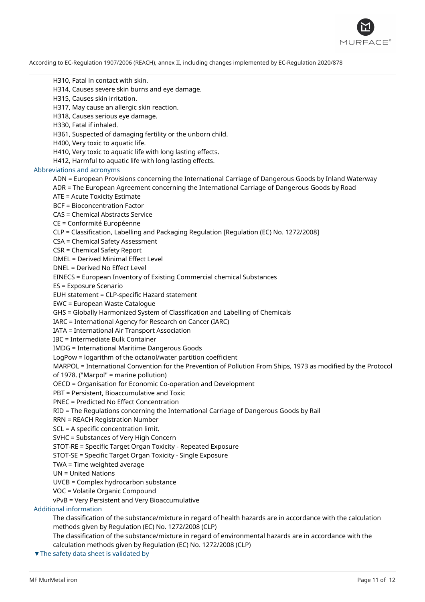

H310, Fatal in contact with skin.

H314, Causes severe skin burns and eye damage.

H315, Causes skin irritation.

H317, May cause an allergic skin reaction.

H318, Causes serious eye damage.

H330, Fatal if inhaled.

H361, Suspected of damaging fertility or the unborn child.

H400, Very toxic to aquatic life.

H410, Very toxic to aquatic life with long lasting effects.

H412, Harmful to aquatic life with long lasting effects.

#### Abbreviations and acronyms

ADN = European Provisions concerning the International Carriage of Dangerous Goods by Inland Waterway

ADR = The European Agreement concerning the International Carriage of Dangerous Goods by Road

ATE = Acute Toxicity Estimate

BCF = Bioconcentration Factor

CAS = Chemical Abstracts Service

CE = Conformité Européenne

CLP = Classification, Labelling and Packaging Regulation [Regulation (EC) No. 1272/2008]

CSA = Chemical Safety Assessment

CSR = Chemical Safety Report

DMEL = Derived Minimal Effect Level

DNEL = Derived No Effect Level

EINECS = European Inventory of Existing Commercial chemical Substances

ES = Exposure Scenario

EUH statement = CLP-specific Hazard statement

EWC = European Waste Catalogue

GHS = Globally Harmonized System of Classification and Labelling of Chemicals

IARC = International Agency for Research on Cancer (IARC)

IATA = International Air Transport Association

IBC = Intermediate Bulk Container

IMDG = International Maritime Dangerous Goods

LogPow = logarithm of the octanol/water partition coefficient

MARPOL = International Convention for the Prevention of Pollution From Ships, 1973 as modified by the Protocol of 1978. ("Marpol" = marine pollution)

OECD = Organisation for Economic Co-operation and Development

PBT = Persistent, Bioaccumulative and Toxic

PNEC = Predicted No Effect Concentration

RID = The Regulations concerning the International Carriage of Dangerous Goods by Rail

RRN = REACH Registration Number

SCL = A specific concentration limit.

SVHC = Substances of Very High Concern

STOT-RE = Specific Target Organ Toxicity - Repeated Exposure

STOT-SE = Specific Target Organ Toxicity - Single Exposure

TWA = Time weighted average

UN = United Nations

UVCB = Complex hydrocarbon substance

VOC = Volatile Organic Compound

vPvB = Very Persistent and Very Bioaccumulative

Additional information

The classification of the substance/mixture in regard of health hazards are in accordance with the calculation methods given by Regulation (EC) No. 1272/2008 (CLP)

The classification of the substance/mixture in regard of environmental hazards are in accordance with the calculation methods given by Regulation (EC) No. 1272/2008 (CLP)

▼The safety data sheet is validated by